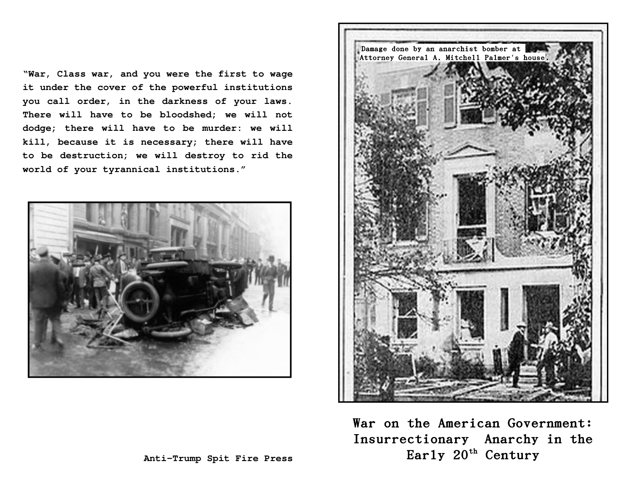**"War, Class war, and you were the first to wage it under the cover of the powerful institutions you call order, in the darkness of your laws. There will have to be bloodshed; we will not dodge; there will have to be murder: we will kill, because it is necessary; there will have to be destruction; we will destroy to rid the world of your tyrannical institutions."**



**Anti-Trump Spit Fire Press**



War on the American Government: Insurrectionary Anarchy in the Early 20th Century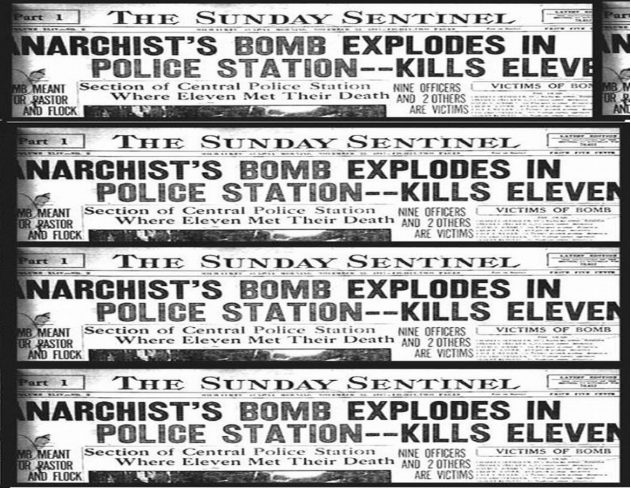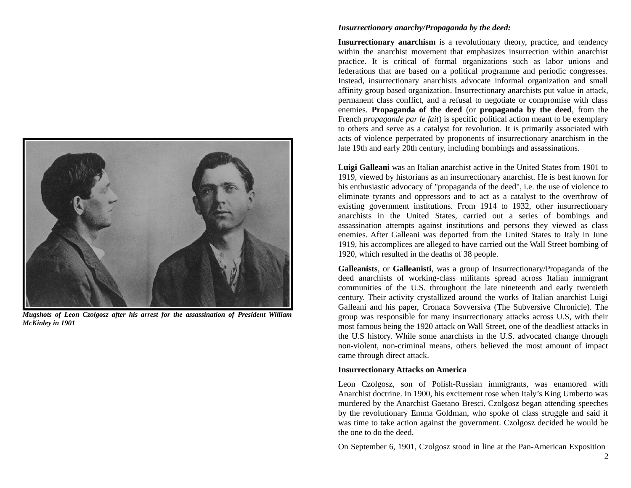

*Mugshots of Leon Czolgosz after his arrest for the assassination of President William McKinley in 1901*

## *Insurrectionary anarchy/Propaganda by the deed:*

**Insurrectionary anarchism** is a revolutionary theory, practice, and tendency within the anarchist movement that emphasizes insurrection within anarchist practice. It is critical of formal organizations such as labor unions and federations that are based on a political programme and periodic congresses. Instead, insurrectionary anarchists advocate informal organization and small affinity group based organization. Insurrectionary anarchists put value in attack, permanent class conflict, and a refusal to negotiate or compromise with class enemies. **Propaganda of the deed** (or **propaganda by the deed**, from the French *propagande par le fait*) is specific political action meant to be exemplary to others and serve as a catalyst for revolution. It is primarily associated with acts of violence perpetrated by proponents of insurrectionary anarchism in the late 19th and early 20th century, including bombings and assassinations.

**Luigi Galleani** was an Italian anarchist active in the United States from 1901 to 1919, viewed by historians as an insurrectionary anarchist. He is best known for his enthusiastic advocacy of "propaganda of the deed", i.e. the use of violence to eliminate tyrants and oppressors and to act as a catalyst to the overthrow of existing government institutions. From 1914 to 1932, other insurrectionary anarchists in the United States, carried out a series of bombings and assassination attempts against institutions and persons they viewed as class enemies. After Galleani was deported from the United States to Italy in June 1919, his accomplices are alleged to have carried out the Wall Street bombing of 1920, which resulted in the deaths of 38 people.

**Galleanists**, or **Galleanisti**, was a group of Insurrectionary/Propaganda of the deed anarchists of working-class militants spread across Italian immigrant communities of the U.S. throughout the late nineteenth and early twentieth century. Their activity crystallized around the works of Italian anarchist Luigi Galleani and his paper, Cronaca Sovversiva (The Subversive Chronicle). The group was responsible for many insurrectionary attacks across U.S, with their most famous being the 1920 attack on Wall Street, one of the deadliest attacks in the U.S history. While some anarchists in the U.S. advocated change through non-violent, non-criminal means, others believed the most amount of impact came through direct attack.

# **Insurrectionary Attacks on America**

Leon Czolgosz, son of Polish-Russian immigrants, was enamored with Anarchist doctrine. In 1900, his excitement rose when Italy's King Umberto was murdered by the Anarchist Gaetano Bresci. Czolgosz began attending speeches by the revolutionary Emma Goldman, who spoke of class struggle and said it was time to take action against the government. Czolgosz decided he would be the one to do the deed.

On September 6, 1901, Czolgosz stood in line at the Pan-American Exposition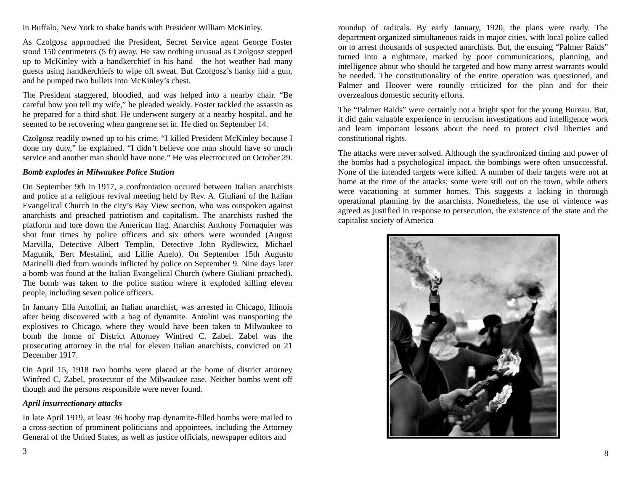in Buffalo, New York to shake hands with President William McKinley.

As Czolgosz approached the President, Secret Service agent George Foster stood 150 centimeters (5 ft) away. He saw nothing unusual as Czolgosz stepped up to McKinley with a handkerchief in his hand—the hot weather had many guests using handkerchiefs to wipe off sweat. But Czolgosz's hanky hid a gun, and he pumped two bullets into McKinley's chest.

The President staggered, bloodied, and was helped into a nearby chair. "Be careful how you tell my wife," he pleaded weakly. Foster tackled the assassin as he prepared for a third shot. He underwent surgery at a nearby hospital, and he seemed to be recovering when gangrene set in. He died on September 14.

Czolgosz readily owned up to his crime. "I killed President McKinley because I done my duty," he explained. "I didn't believe one man should have so much service and another man should have none." He was electrocuted on October 29.

## *Bomb explodes in Milwaukee Police Station*

On September 9th in 1917, a confrontation occured between Italian anarchists and police at a religious revival meeting held by Rev. A. Giuliani of the Italian Evangelical Church in the city's Bay View section, who was outspoken against anarchists and preached patriotism and capitalism. The anarchists rushed the platform and tore down the American flag. Anarchist Anthony Fornaquier was shot four times by police officers and six others were wounded (August Marvilla, Detective Albert Templin, Detective John Rydlewicz, Michael Magunik, Bert Mestalini, and Lillie Anelo). On September 15th Augusto Marinelli died from wounds inflicted by police on September 9. Nine days later a bomb was found at the Italian Evangelical Church (where Giuliani preached). The bomb was taken to the police station where it exploded killing eleven people, including seven police officers.

In January Ella Antolini, an Italian anarchist, was arrested in Chicago, Illinois after being discovered with a bag of dynamite. Antolini was transporting the explosives to Chicago, where they would have been taken to Milwaukee to bomb the home of District Attorney Winfred C. Zabel. Zabel was the prosecuting attorney in the trial for eleven Italian anarchists, convicted on 21 December 1917.

On April 15, 1918 two bombs were placed at the home of district attorney Winfred C. Zabel, prosecutor of the Milwaukee case. Neither bombs went off though and the persons responsible were never found.

#### *April insurrectionary attacks*

In late April 1919, at least 36 booby trap dynamite-filled bombs were mailed to a cross-section of prominent politicians and appointees, including the Attorney General of the United States, as well as justice officials, newspaper editors and

roundup of radicals. By early January, 1920, the plans were ready. The department organized simultaneous raids in major cities, with local police called on to arrest thousands of suspected anarchists. But, the ensuing "Palmer Raids" turned into a nightmare, marked by poor communications, planning, and intelligence about who should be targeted and how many arrest warrants would be needed. The constitutionality of the entire operation was questioned, and Palmer and Hoover were roundly criticized for the plan and for their overzealous domestic security efforts.

The "Palmer Raids" were certainly not a bright spot for the young Bureau. But, it did gain valuable experience in terrorism investigations and intelligence work and learn important lessons about the need to protect civil liberties and constitutional rights.

The attacks were never solved. Although the synchronized timing and power of the bombs had a psychological impact, the bombings were often unsuccessful. None of the intended targets were killed. A number of their targets were not at home at the time of the attacks; some were still out on the town, while others were vacationing at summer homes. This suggests a lacking in thorough operational planning by the anarchists. Nonetheless, the use of violence was agreed as justified in response to persecution, the existence of the state and the capitalist society of America

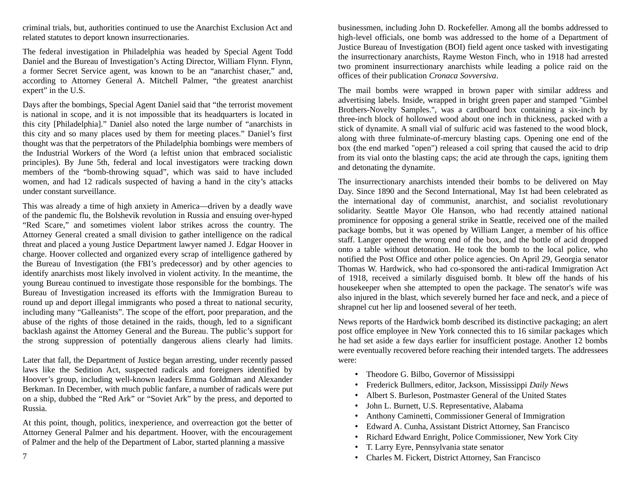criminal trials, but, authorities continued to use the Anarchist Exclusion Act and related statutes to deport known insurrectionaries.

The federal investigation in Philadelphia was headed by Special Agent Todd Daniel and the Bureau of Investigation's Acting Director, William Flynn. Flynn, a former Secret Service agent, was known to be an "anarchist chaser," and, according to Attorney General A. Mitchell Palmer, "the greatest anarchist expert" in the U.S.

Days after the bombings, Special Agent Daniel said that "the terrorist movement is national in scope, and it is not impossible that its headquarters is located in this city [Philadelphia]." Daniel also noted the large number of "anarchists in this city and so many places used by them for meeting places." Daniel's first thought was that the perpetrators of the Philadelphia bombings were members of the Industrial Workers of the Word (a leftist union that embraced socialistic principles). By June 5th, federal and local investigators were tracking down members of the "bomb-throwing squad", which was said to have included women, and had 12 radicals suspected of having a hand in the city's attacks under constant surveillance.

This was already a time of high anxiety in America—driven by a deadly wave of the pandemic flu, the Bolshevik revolution in Russia and ensuing over-hyped "Red Scare," and sometimes violent labor strikes across the country. The Attorney General created a small division to gather intelligence on the radical threat and placed a young Justice Department lawyer named J. Edgar Hoover in charge. Hoover collected and organized every scrap of intelligence gathered by the Bureau of Investigation (the FBI's predecessor) and by other agencies to identify anarchists most likely involved in violent activity. In the meantime, the young Bureau continued to investigate those responsible for the bombings. The Bureau of Investigation increased its efforts with the Immigration Bureau to round up and deport illegal immigrants who posed a threat to national security, including many "Galleanists". The scope of the effort, poor preparation, and the abuse of the rights of those detained in the raids, though, led to a significant backlash against the Attorney General and the Bureau. The public's support for the strong suppression of potentially dangerous aliens clearly had limits.

Later that fall, the Department of Justice began arresting, under recently passed laws like the Sedition Act, suspected radicals and foreigners identified by Hoover's group, including well-known leaders Emma Goldman and Alexander Berkman. In December, with much public fanfare, a number of radicals were put on a ship, dubbed the "Red Ark" or "Soviet Ark" by the press, and deported to Russia.

At this point, though, politics, inexperience, and overreaction got the better of Attorney General Palmer and his department. Hoover, with the encouragement of Palmer and the help of the Department of Labor, started planning a massive

businessmen, including John D. Rockefeller. Among all the bombs addressed to high-level officials, one bomb was addressed to the home of a Department of Justice Bureau of Investigation (BOI) field agent once tasked with investigating the insurrectionary anarchists, Rayme Weston Finch, who in 1918 had arrested two prominent insurrectionary anarchists while leading a police raid on the offices of their publication *Cronaca Sovversiva*.

The mail bombs were wrapped in brown paper with similar address and advertising labels. Inside, wrapped in bright green paper and stamped "Gimbel Brothers-Novelty Samples.", was a cardboard box containing a six-inch by three-inch block of hollowed wood about one inch in thickness, packed with a stick of dynamite. A small vial of sulfuric acid was fastened to the wood block, along with three fulminate-of-mercury blasting caps. Opening one end of the box (the end marked "open") released a coil spring that caused the acid to drip from its vial onto the blasting caps; the acid ate through the caps, igniting them and detonating the dynamite.

The insurrectionary anarchists intended their bombs to be delivered on May Day. Since 1890 and the Second International, May 1st had been celebrated as the international day of communist, anarchist, and socialist revolutionary solidarity. Seattle Mayor Ole Hanson, who had recently attained national prominence for opposing a general strike in Seattle, received one of the mailed package bombs, but it was opened by William Langer, a member of his office staff. Langer opened the wrong end of the box, and the bottle of acid dropped onto a table without detonation. He took the bomb to the local police, who notified the Post Office and other police agencies. On April 29, Georgia senator Thomas W. Hardwick, who had co-sponsored the anti-radical Immigration Act of 1918, received a similarly disguised bomb. It blew off the hands of his housekeeper when she attempted to open the package. The senator's wife was also injured in the blast, which severely burned her face and neck, and a piece of shrapnel cut her lip and loosened several of her teeth.

News reports of the Hardwick bomb described its distinctive packaging; an alert post office employee in New York connected this to 16 similar packages which he had set aside a few days earlier for insufficient postage. Another 12 bombs were eventually recovered before reaching their intended targets. The addressees were:

- Theodore G. Bilbo, Governor of Mississippi
- Frederick Bullmers, editor, Jackson, Mississippi *Daily News*
- Albert S. Burleson, Postmaster General of the United States
- John L. Burnett, U.S. Representative, Alabama
- Anthony Caminetti, Commissioner General of Immigration
- Edward A. Cunha, Assistant District Attorney, San Francisco
- Richard Edward Enright, Police Commissioner, New York City
- T. Larry Eyre, Pennsylvania state senator
- Charles M. Fickert, District Attorney, San Francisco